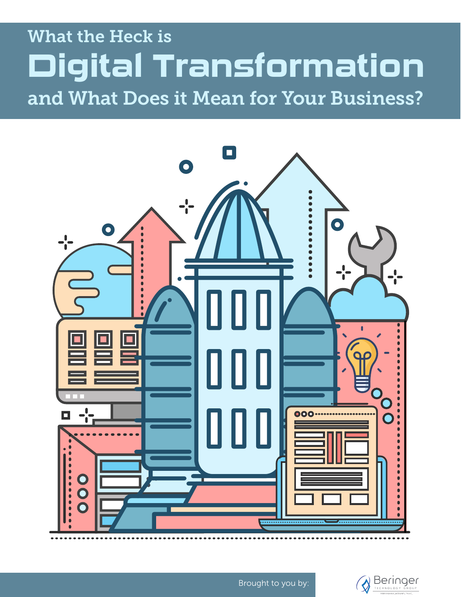# What the Heck is and What Does it Mean for Your Business? **Digital Transformation**





Brought to you by: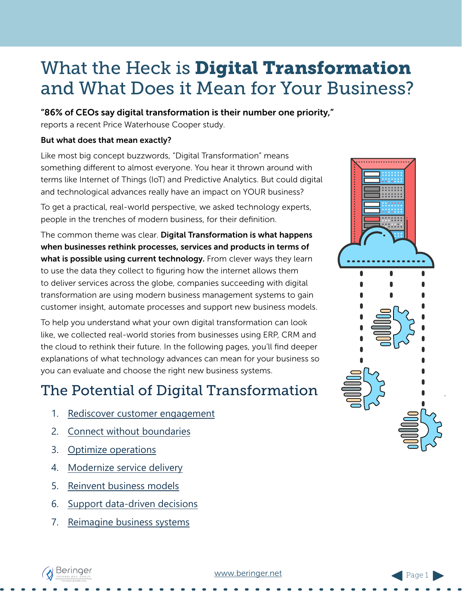## What the Heck is **Digital Transformation** and What Does it Mean for Your Business?

#### "86% of CEOs say digital transformation is their number one priority,"

reports a recent Price Waterhouse Cooper study.

#### But what does that mean exactly?

Like most big concept buzzwords, "Digital Transformation" means something different to almost everyone. You hear it thrown around with terms like Internet of Things (IoT) and Predictive Analytics. But could digital and technological advances really have an impact on YOUR business?

To get a practical, real-world perspective, we asked technology experts, people in the trenches of modern business, for their definition.

The common theme was clear. Digital Transformation is what happens when businesses rethink processes, services and products in terms of what is possible using current technology. From clever ways they learn to use the data they collect to figuring how the internet allows them to deliver services across the globe, companies succeeding with digital transformation are using modern business management systems to gain customer insight, automate processes and support new business models.

To help you understand what your own digital transformation can look like, we collected real-world stories from businesses using ERP, CRM and the cloud to rethink their future. In the following pages, you'll find deeper explanations of what technology advances can mean for your business so you can evaluate and choose the right new business systems.

## The Potential of Digital Transformation

- 1. [Rediscover customer engagement](#page-2-0)
- 2. [Connect without boundaries](#page-3-0)
- 3. [Optimize operations](#page-4-0)
- 4. [Modernize service delivery](#page-5-0)
- 5. [Reinvent business models](#page-6-0)
- 6. [Support data-driven decisions](#page-7-0)
- 7. [Reimagine business systems](#page-8-0)



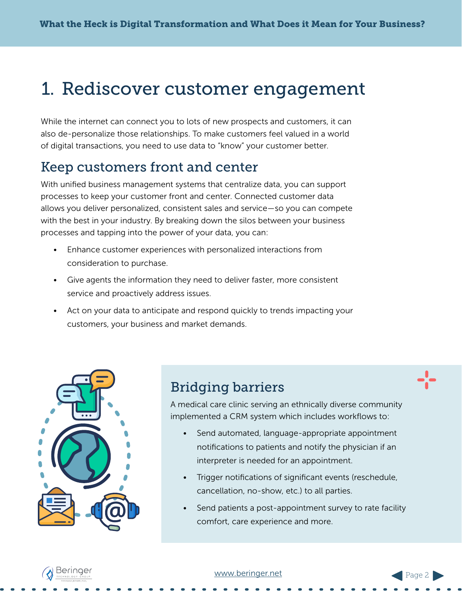## <span id="page-2-0"></span>1. Rediscover customer engagement

While the internet can connect you to lots of new prospects and customers, it can also de-personalize those relationships. To make customers feel valued in a world of digital transactions, you need to use data to "know" your customer better.

#### Keep customers front and center

With unified business management systems that centralize data, you can support processes to keep your customer front and center. Connected customer data allows you deliver personalized, consistent sales and service—so you can compete with the best in your industry. By breaking down the silos between your business processes and tapping into the power of your data, you can:

- Enhance customer experiences with personalized interactions from consideration to purchase.
- Give agents the information they need to deliver faster, more consistent service and proactively address issues.
- Act on your data to anticipate and respond quickly to trends impacting your customers, your business and market demands.



#### Bridging barriers

A medical care clinic serving an ethnically diverse community implemented a CRM system which includes workflows to:

- Send automated, language-appropriate appointment notifications to patients and notify the physician if an interpreter is needed for an appointment.
- Trigger notifications of significant events (reschedule, cancellation, no-show, etc.) to all parties.
- Send patients a post-appointment survey to rate facility comfort, care experience and more.



#### [www.](http://www.beringer.net)beringer.net

Page 2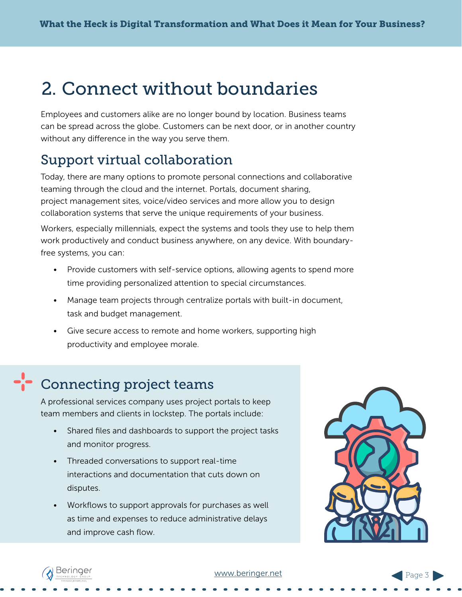## <span id="page-3-0"></span>2. Connect without boundaries

Employees and customers alike are no longer bound by location. Business teams can be spread across the globe. Customers can be next door, or in another country without any difference in the way you serve them.

### Support virtual collaboration

Today, there are many options to promote personal connections and collaborative teaming through the cloud and the internet. Portals, document sharing, project management sites, voice/video services and more allow you to design collaboration systems that serve the unique requirements of your business.

Workers, especially millennials, expect the systems and tools they use to help them work productively and conduct business anywhere, on any device. With boundaryfree systems, you can:

- Provide customers with self-service options, allowing agents to spend more time providing personalized attention to special circumstances.
- Manage team projects through centralize portals with built-in document, task and budget management.
- Give secure access to remote and home workers, supporting high productivity and employee morale.

## Connecting project teams

A professional services company uses project portals to keep team members and clients in lockstep. The portals include:

- Shared files and dashboards to support the project tasks and monitor progress.
- Threaded conversations to support real-time interactions and documentation that cuts down on disputes.
- Workflows to support approvals for purchases as well as time and expenses to reduce administrative delays and improve cash flow.





#### [www.](http://www.beringer.net)beringer.net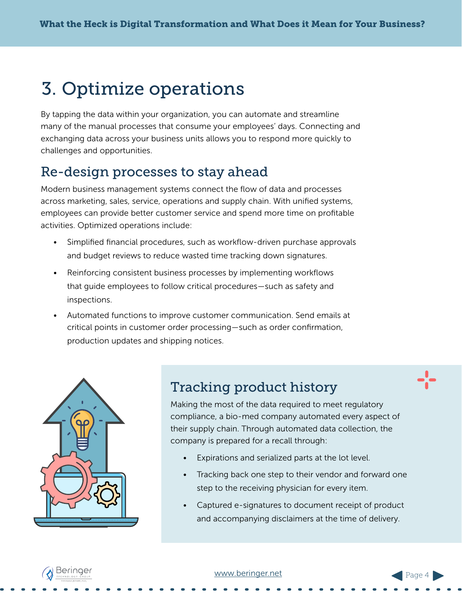## <span id="page-4-0"></span>3. Optimize operations

By tapping the data within your organization, you can automate and streamline many of the manual processes that consume your employees' days. Connecting and exchanging data across your business units allows you to respond more quickly to challenges and opportunities.

### Re-design processes to stay ahead

Modern business management systems connect the flow of data and processes across marketing, sales, service, operations and supply chain. With unified systems, employees can provide better customer service and spend more time on profitable activities. Optimized operations include:

- Simplified financial procedures, such as workflow-driven purchase approvals and budget reviews to reduce wasted time tracking down signatures.
- Reinforcing consistent business processes by implementing workflows that guide employees to follow critical procedures—such as safety and inspections.
- Automated functions to improve customer communication. Send emails at critical points in customer order processing—such as order confirmation, production updates and shipping notices.



### Tracking product history

Making the most of the data required to meet regulatory compliance, a bio-med company automated every aspect of their supply chain. Through automated data collection, the company is prepared for a recall through:

- Expirations and serialized parts at the lot level.
- Tracking back one step to their vendor and forward one step to the receiving physician for every item.
- Captured e-signatures to document receipt of product and accompanying disclaimers at the time of delivery.



Page 4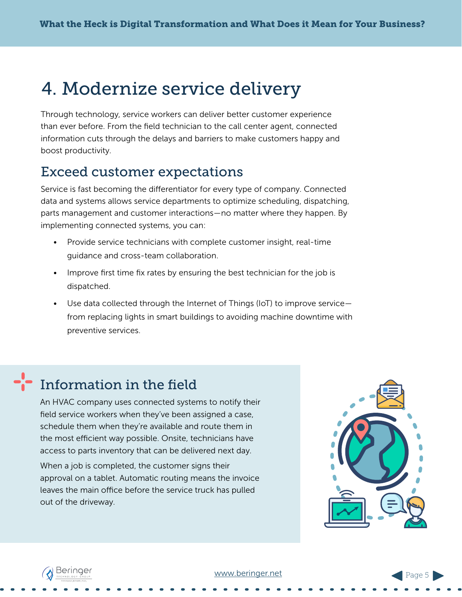## <span id="page-5-0"></span>4. Modernize service delivery

Through technology, service workers can deliver better customer experience than ever before. From the field technician to the call center agent, connected information cuts through the delays and barriers to make customers happy and boost productivity.

### Exceed customer expectations

Service is fast becoming the differentiator for every type of company. Connected data and systems allows service departments to optimize scheduling, dispatching, parts management and customer interactions—no matter where they happen. By implementing connected systems, you can:

- Provide service technicians with complete customer insight, real-time guidance and cross-team collaboration.
- Improve first time fix rates by ensuring the best technician for the job is dispatched.
- Use data collected through the Internet of Things (IoT) to improve service from replacing lights in smart buildings to avoiding machine downtime with preventive services.

## Information in the field

An HVAC company uses connected systems to notify their field service workers when they've been assigned a case, schedule them when they're available and route them in the most efficient way possible. Onsite, technicians have access to parts inventory that can be delivered next day.

When a job is completed, the customer signs their approval on a tablet. Automatic routing means the invoice leaves the main office before the service truck has pulled out of the driveway.



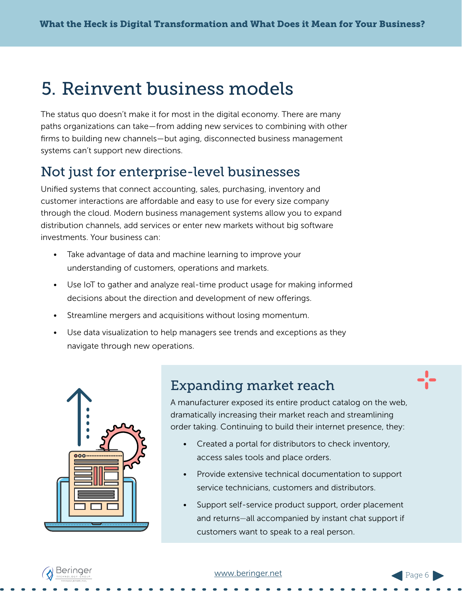## <span id="page-6-0"></span>5. Reinvent business models

The status quo doesn't make it for most in the digital economy. There are many paths organizations can take—from adding new services to combining with other firms to building new channels—but aging, disconnected business management systems can't support new directions.

### Not just for enterprise-level businesses

Unified systems that connect accounting, sales, purchasing, inventory and customer interactions are affordable and easy to use for every size company through the cloud. Modern business management systems allow you to expand distribution channels, add services or enter new markets without big software investments. Your business can:

- Take advantage of data and machine learning to improve your understanding of customers, operations and markets.
- Use IoT to gather and analyze real-time product usage for making informed decisions about the direction and development of new offerings.
- Streamline mergers and acquisitions without losing momentum.
- Use data visualization to help managers see trends and exceptions as they navigate through new operations.



### Expanding market reach

A manufacturer exposed its entire product catalog on the web, dramatically increasing their market reach and streamlining order taking. Continuing to build their internet presence, they:

- Created a portal for distributors to check inventory, access sales tools and place orders.
- Provide extensive technical documentation to support service technicians, customers and distributors.
- Support self-service product support, order placement and returns—all accompanied by instant chat support if customers want to speak to a real person.



Page 6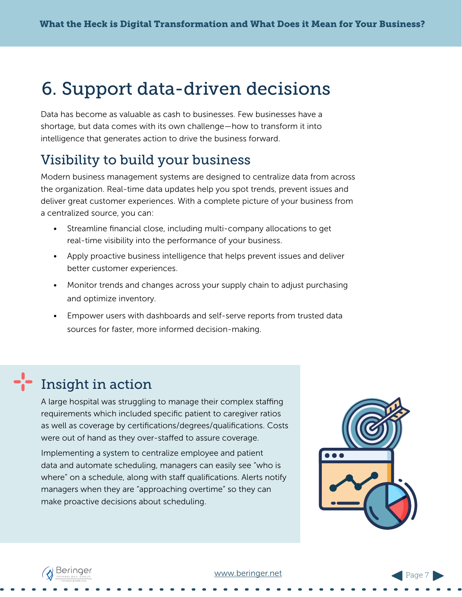## <span id="page-7-0"></span>6. Support data-driven decisions

Data has become as valuable as cash to businesses. Few businesses have a shortage, but data comes with its own challenge—how to transform it into intelligence that generates action to drive the business forward.

### Visibility to build your business

Modern business management systems are designed to centralize data from across the organization. Real-time data updates help you spot trends, prevent issues and deliver great customer experiences. With a complete picture of your business from a centralized source, you can:

- Streamline financial close, including multi-company allocations to get real-time visibility into the performance of your business.
- Apply proactive business intelligence that helps prevent issues and deliver better customer experiences.
- Monitor trends and changes across your supply chain to adjust purchasing and optimize inventory.
- Empower users with dashboards and self-serve reports from trusted data sources for faster, more informed decision-making.

## Insight in action

A large hospital was struggling to manage their complex staffing requirements which included specific patient to caregiver ratios as well as coverage by certifications/degrees/qualifications. Costs were out of hand as they over-staffed to assure coverage.

Implementing a system to centralize employee and patient data and automate scheduling, managers can easily see "who is where" on a schedule, along with staff qualifications. Alerts notify managers when they are "approaching overtime" so they can make proactive decisions about scheduling.



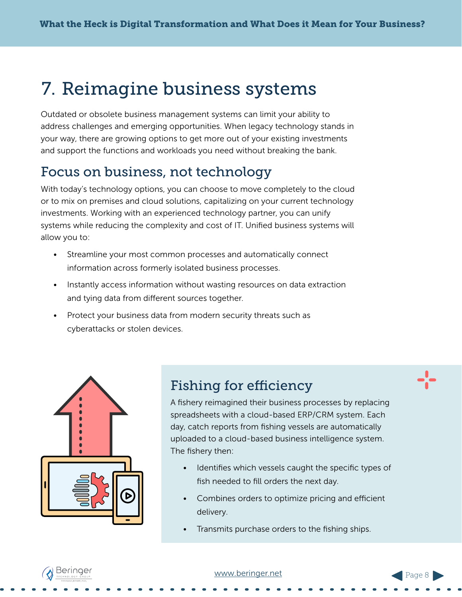## <span id="page-8-0"></span>7. Reimagine business systems

Outdated or obsolete business management systems can limit your ability to address challenges and emerging opportunities. When legacy technology stands in your way, there are growing options to get more out of your existing investments and support the functions and workloads you need without breaking the bank.

### Focus on business, not technology

With today's technology options, you can choose to move completely to the cloud or to mix on premises and cloud solutions, capitalizing on your current technology investments. Working with an experienced technology partner, you can unify systems while reducing the complexity and cost of IT. Unified business systems will allow you to:

- Streamline your most common processes and automatically connect information across formerly isolated business processes.
- Instantly access information without wasting resources on data extraction and tying data from different sources together.
- Protect your business data from modern security threats such as cyberattacks or stolen devices.



### Fishing for efficiency

A fishery reimagined their business processes by replacing spreadsheets with a cloud-based ERP/CRM system. Each day, catch reports from fishing vessels are automatically uploaded to a cloud-based business intelligence system. The fishery then:

- Identifies which vessels caught the specific types of fish needed to fill orders the next day.
- Combines orders to optimize pricing and efficient delivery.
- Transmits purchase orders to the fishing ships.

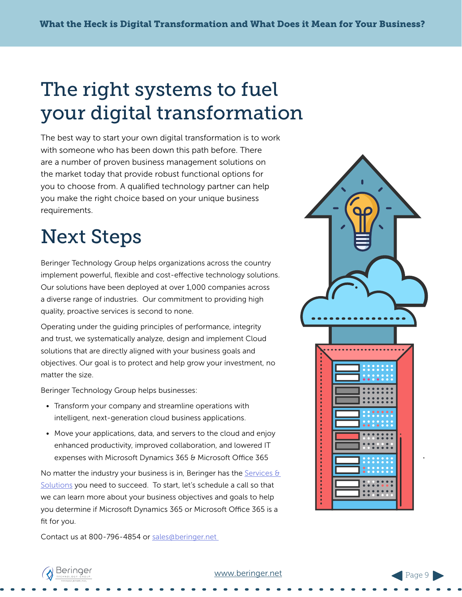# The right systems to fuel your digital transformation

The best way to start your own digital transformation is to work with someone who has been down this path before. There are a number of proven business management solutions on the market today that provide robust functional options for you to choose from. A qualified technology partner can help you make the right choice based on your unique business requirements.

# Next Steps

Beringer Technology Group helps organizations across the country implement powerful, flexible and cost-effective technology solutions. Our solutions have been deployed at over 1,000 companies across a diverse range of industries. Our commitment to providing high quality, proactive services is second to none.

Operating under the guiding principles of performance, integrity and trust, we systematically analyze, design and implement Cloud solutions that are directly aligned with your business goals and objectives. Our goal is to protect and help grow your investment, no matter the size.

Beringer Technology Group helps businesses:

- Transform your company and streamline operations with intelligent, next-generation cloud business applications.
- Move your applications, data, and servers to the cloud and enjoy enhanced productivity, improved collaboration, and lowered IT expenses with Microsoft Dynamics 365 & Microsoft Office 365

No matter the industry your business is in, Beringer has the Services  $\theta$ [Solutions](http://beringer.bypronto.com/services-solutions/) you need to succeed. To start, let's schedule a call so that we can learn more about your business objectives and goals to help you determine if Microsoft Dynamics 365 or Microsoft Office 365 is a fit for you.

Contact us at 800-796-4854 or [sales@beringer.net](mailto:sales%40beringer.net?subject=Digital%20Transformation%20Whitepaper) 





#### [www.](http://www.beringer.net)beringer.net